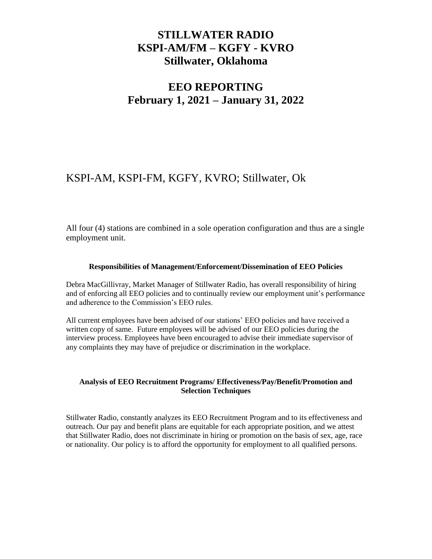## **STILLWATER RADIO KSPI-AM/FM – KGFY - KVRO Stillwater, Oklahoma**

# **EEO REPORTING February 1, 2021 – January 31, 2022**

## KSPI-AM, KSPI-FM, KGFY, KVRO; Stillwater, Ok

All four (4) stations are combined in a sole operation configuration and thus are a single employment unit.

#### **Responsibilities of Management/Enforcement/Dissemination of EEO Policies**

Debra MacGillivray, Market Manager of Stillwater Radio, has overall responsibility of hiring and of enforcing all EEO policies and to continually review our employment unit's performance and adherence to the Commission's EEO rules.

All current employees have been advised of our stations' EEO policies and have received a written copy of same. Future employees will be advised of our EEO policies during the interview process. Employees have been encouraged to advise their immediate supervisor of any complaints they may have of prejudice or discrimination in the workplace.

#### **Analysis of EEO Recruitment Programs/ Effectiveness/Pay/Benefit/Promotion and Selection Techniques**

Stillwater Radio, constantly analyzes its EEO Recruitment Program and to its effectiveness and outreach. Our pay and benefit plans are equitable for each appropriate position, and we attest that Stillwater Radio, does not discriminate in hiring or promotion on the basis of sex, age, race or nationality. Our policy is to afford the opportunity for employment to all qualified persons.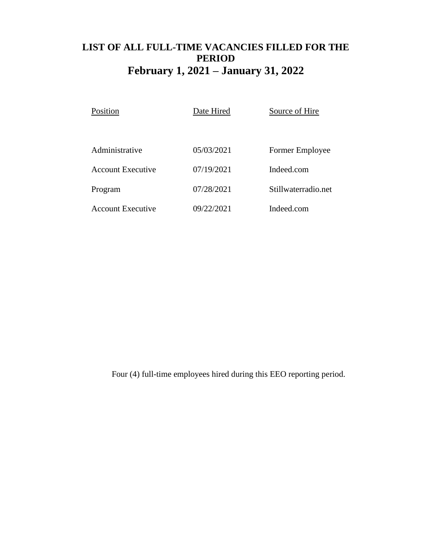## **LIST OF ALL FULL-TIME VACANCIES FILLED FOR THE PERIOD February 1, 2021 – January 31, 2022**

| Position                 | Date Hired | Source of Hire      |
|--------------------------|------------|---------------------|
|                          |            |                     |
| Administrative           | 05/03/2021 | Former Employee     |
| <b>Account Executive</b> | 07/19/2021 | Indeed.com          |
| Program                  | 07/28/2021 | Stillwaterradio.net |
| Account Executive        | 09/22/2021 | Indeed.com          |

Four (4) full-time employees hired during this EEO reporting period.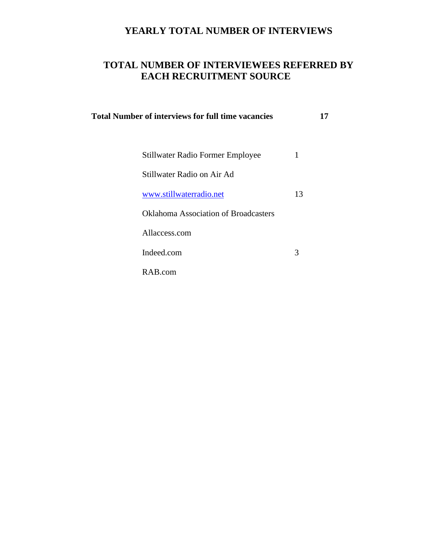## **YEARLY TOTAL NUMBER OF INTERVIEWS**

## **TOTAL NUMBER OF INTERVIEWEES REFERRED BY EACH RECRUITMENT SOURCE**

| <b>Total Number of interviews for full time vacancies</b> |    | 17 |
|-----------------------------------------------------------|----|----|
|                                                           |    |    |
| Stillwater Radio Former Employee                          | 1  |    |
| Stillwater Radio on Air Ad                                |    |    |
| www.stillwaterradio.net                                   | 13 |    |
| <b>Oklahoma Association of Broadcasters</b>               |    |    |
| Allaccess.com                                             |    |    |
| Indeed.com                                                | 3  |    |
| RAB.com                                                   |    |    |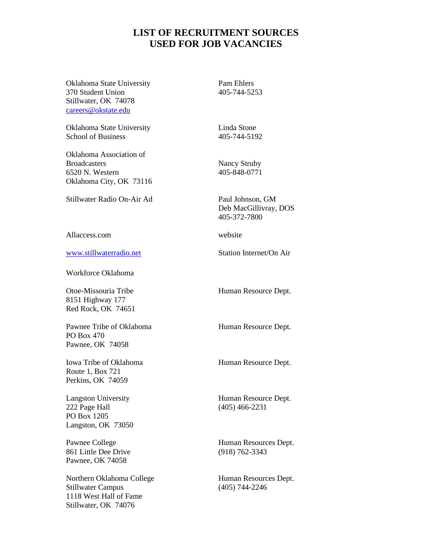### **LIST OF RECRUITMENT SOURCES USED FOR JOB VACANCIES**

Oklahoma State University Pam Ehlers 370 Student Union 405-744-5253 Stillwater, OK 74078 [careers@okstate.edu](mailto:careers@okstate.edu)

Oklahoma State University Linda Stone School of Business 405-744-5192

Oklahoma Association of Broadcasters Nancy Struby 6520 N. Western 405-848-0771 Oklahoma City, OK 73116

Stillwater Radio On-Air Ad Paul Johnson, GM

Allaccess.com website

[www.stillwaterradio.net](http://www.stillwaterradio.net/) Station Internet/On Air

Workforce Oklahoma

Otoe-Missouria Tribe Human Resource Dept. 8151 Highway 177 Red Rock, OK 74651

Pawnee Tribe of Oklahoma Human Resource Dept. PO Box 470 Pawnee, OK 74058

Iowa Tribe of Oklahoma Human Resource Dept. Route 1, Box 721 Perkins, OK 74059

222 Page Hall (405) 466-2231 PO Box 1205 Langston, OK 73050

861 Little Dee Drive (918) 762-3343 Pawnee, OK 74058

Northern Oklahoma College Human Resources Dept. Stillwater Campus (405) 744-2246 1118 West Hall of Fame Stillwater, OK 74076

Deb MacGillivray, DOS 405-372-7800

Langston University **Human Resource Dept.** 

Pawnee College Human Resources Dept.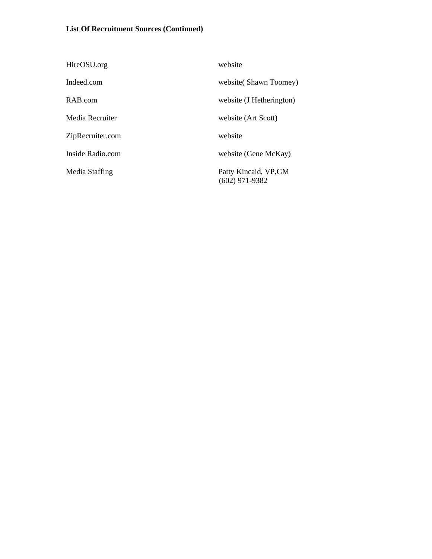### **List Of Recruitment Sources (Continued)**

| HireOSU.org      | website                                   |
|------------------|-------------------------------------------|
| Indeed.com       | website (Shawn Toomey)                    |
| RAB.com          | website (J Hetherington)                  |
| Media Recruiter  | website (Art Scott)                       |
| ZipRecruiter.com | website                                   |
| Inside Radio.com | website (Gene McKay)                      |
| Media Staffing   | Patty Kincaid, VP, GM<br>$(602)$ 971-9382 |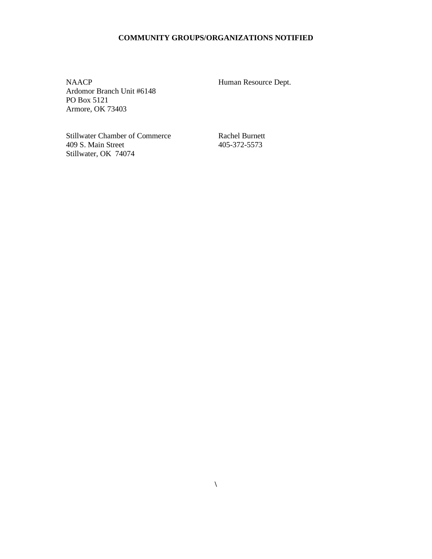### **COMMUNITY GROUPS/ORGANIZATIONS NOTIFIED**

NAACP Human Resource Dept. Ardomor Branch Unit #6148 PO Box 5121 Armore, OK 73403

Stillwater Chamber of Commerce<br>
409 S. Main Street<br>
405-372-5573 409 S. Main Street Stillwater, OK 74074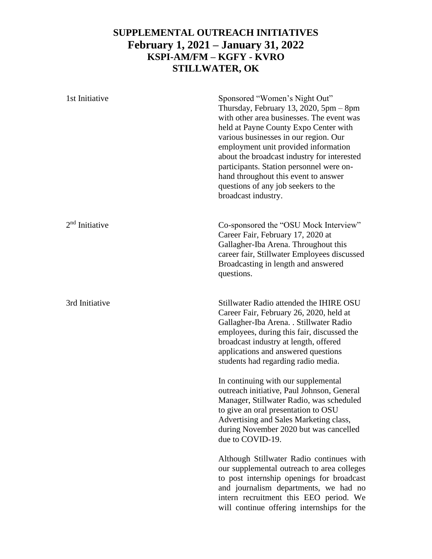## **SUPPLEMENTAL OUTREACH INITIATIVES February 1, 2021 – January 31, 2022 KSPI-AM/FM – KGFY - KVRO STILLWATER, OK**

| 1st Initiative   | Sponsored "Women's Night Out"<br>Thursday, February 13, 2020, $5pm - 8pm$<br>with other area businesses. The event was<br>held at Payne County Expo Center with<br>various businesses in our region. Our<br>employment unit provided information<br>about the broadcast industry for interested<br>participants. Station personnel were on-<br>hand throughout this event to answer<br>questions of any job seekers to the<br>broadcast industry. |
|------------------|---------------------------------------------------------------------------------------------------------------------------------------------------------------------------------------------------------------------------------------------------------------------------------------------------------------------------------------------------------------------------------------------------------------------------------------------------|
| $2nd$ Initiative | Co-sponsored the "OSU Mock Interview"<br>Career Fair, February 17, 2020 at<br>Gallagher-Iba Arena. Throughout this<br>career fair, Stillwater Employees discussed<br>Broadcasting in length and answered<br>questions.                                                                                                                                                                                                                            |
| 3rd Initiative   | Stillwater Radio attended the IHIRE OSU<br>Career Fair, February 26, 2020, held at<br>Gallagher-Iba Arena. . Stillwater Radio<br>employees, during this fair, discussed the<br>broadcast industry at length, offered<br>applications and answered questions<br>students had regarding radio media.                                                                                                                                                |
|                  | In continuing with our supplemental<br>outreach initiative, Paul Johnson, General<br>Manager, Stillwater Radio, was scheduled<br>to give an oral presentation to OSU<br>Advertising and Sales Marketing class,<br>during November 2020 but was cancelled<br>due to COVID-19.                                                                                                                                                                      |
|                  | Although Stillwater Radio continues with<br>our supplemental outreach to area colleges<br>to post internship openings for broadcast<br>and journalism departments, we had no<br>intern recruitment this EEO period. We<br>will continue offering internships for the                                                                                                                                                                              |